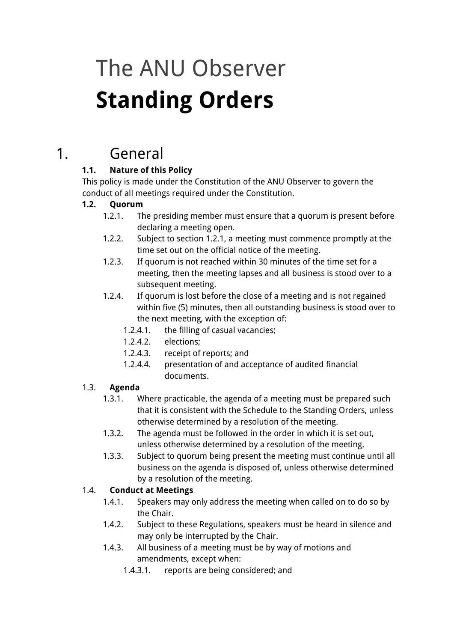# The ANU Observer **Standing Orders**

### 1. General

### **1.1. Nature of this Policy**

This policy is made under the Constitution of the ANU Observer to govern the conduct of all meetings required under the Constitution.

### **1.2. Quorum**

- 1.2.1. The presiding member must ensure that a quorum is present before declaring a meeting open.
- 1.2.2. Subject to section 1.2.1, a meeting must commence promptly at the time set out on the official notice of the meeting.
- 1.2.3. If quorum is not reached within 30 minutes of the time set for a meeting, then the meeting lapses and all business is stood over to a subsequent meeting.
- 1.2.4. If quorum is lost before the close of a meeting and is not regained within five (5) minutes, then all outstanding business is stood over to the next meeting, with the exception of:
	- 1.2.4.1. the filling of casual vacancies;
	- 1.2.4.2. elections;
	- 1.2.4.3. receipt of reports; and
	- 1.2.4.4. presentation of and acceptance of audited financial documents.

### 1.3. **Agenda**

- 1.3.1. Where practicable, the agenda of a meeting must be prepared such that it is consistent with the Schedule to the Standing Orders, unless otherwise determined by a resolution of the meeting.
- 1.3.2. The agenda must be followed in the order in which it is set out, unless otherwise determined by a resolution of the meeting.
- 1.3.3. Subject to quorum being present the meeting must continue until all business on the agenda is disposed of, unless otherwise determined by a resolution of the meeting.

### 1.4. **Conduct at Meetings**

- 1.4.1. Speakers may only address the meeting when called on to do so by the Chair.
- 1.4.2. Subject to these Regulations, speakers must be heard in silence and may only be interrupted by the Chair.
- 1.4.3. All business of a meeting must be by way of motions and amendments, except when:
	- 1.4.3.1. reports are being considered; and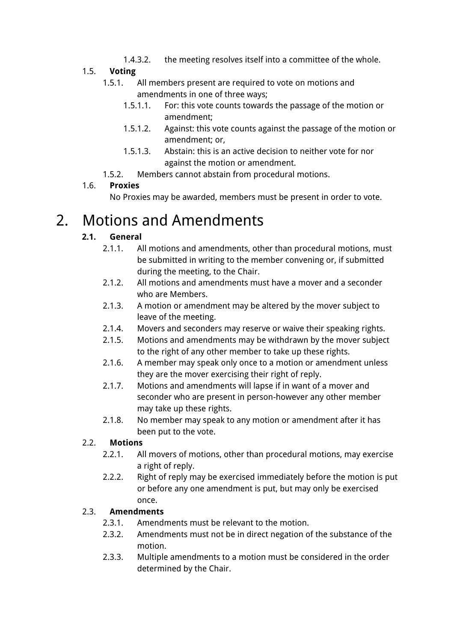1.4.3.2. the meeting resolves itself into a committee of the whole.

#### 1.5. **Voting**

- 1.5.1. All members present are required to vote on motions and amendments in one of three ways;
	- 1.5.1.1. For: this vote counts towards the passage of the motion or amendment;
	- 1.5.1.2. Against: this vote counts against the passage of the motion or amendment; or,
	- 1.5.1.3. Abstain: this is an active decision to neither vote for nor against the motion or amendment.
- 1.5.2. Members cannot abstain from procedural motions.

### 1.6. **Proxies**

No Proxies may be awarded, members must be present in order to vote.

### 2. Motions and Amendments

### **2.1. General**

- 2.1.1. All motions and amendments, other than procedural motions, must be submitted in writing to the member convening or, if submitted during the meeting, to the Chair.
- 2.1.2. All motions and amendments must have a mover and a seconder who are Members.
- 2.1.3. A motion or amendment may be altered by the mover subject to leave of the meeting.
- 2.1.4. Movers and seconders may reserve or waive their speaking rights.
- 2.1.5. Motions and amendments may be withdrawn by the mover subject to the right of any other member to take up these rights.
- 2.1.6. A member may speak only once to a motion or amendment unless they are the mover exercising their right of reply.
- 2.1.7. Motions and amendments will lapse if in want of a mover and seconder who are present in person-however any other member may take up these rights.
- 2.1.8. No member may speak to any motion or amendment after it has been put to the vote.

### 2.2. **Motions**

- 2.2.1. All movers of motions, other than procedural motions, may exercise a right of reply.
- 2.2.2. Right of reply may be exercised immediately before the motion is put or before any one amendment is put, but may only be exercised once.

### 2.3. **Amendments**

- 2.3.1. Amendments must be relevant to the motion.
- 2.3.2. Amendments must not be in direct negation of the substance of the motion.
- 2.3.3. Multiple amendments to a motion must be considered in the order determined by the Chair.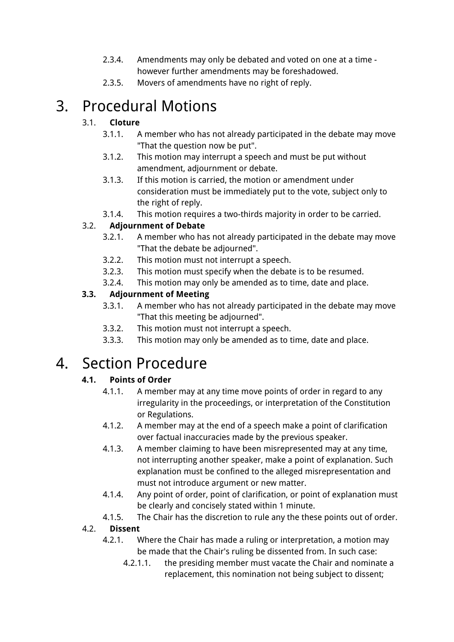- 2.3.4. Amendments may only be debated and voted on one at a time however further amendments may be foreshadowed.
- 2.3.5. Movers of amendments have no right of reply.

### 3. Procedural Motions

### 3.1. **Cloture**

- 3.1.1. A member who has not already participated in the debate may move "That the question now be put".
- 3.1.2. This motion may interrupt a speech and must be put without amendment, adjournment or debate.
- 3.1.3. If this motion is carried, the motion or amendment under consideration must be immediately put to the vote, subject only to the right of reply.

3.1.4. This motion requires a two-thirds majority in order to be carried.

#### 3.2. **Adjournment of Debate**

- 3.2.1. A member who has not already participated in the debate may move "That the debate be adjourned".
- 3.2.2. This motion must not interrupt a speech.
- 3.2.3. This motion must specify when the debate is to be resumed.
- 3.2.4. This motion may only be amended as to time, date and place.

#### **3.3. Adjournment of Meeting**

- 3.3.1. A member who has not already participated in the debate may move "That this meeting be adjourned".
- 3.3.2. This motion must not interrupt a speech.
- 3.3.3. This motion may only be amended as to time, date and place.

### 4. Section Procedure

### **4.1. Points of Order**

- 4.1.1. A member may at any time move points of order in regard to any irregularity in the proceedings, or interpretation of the Constitution or Regulations.
- 4.1.2. A member may at the end of a speech make a point of clarification over factual inaccuracies made by the previous speaker.
- 4.1.3. A member claiming to have been misrepresented may at any time, not interrupting another speaker, make a point of explanation. Such explanation must be confined to the alleged misrepresentation and must not introduce argument or new matter.
- 4.1.4. Any point of order, point of clarification, or point of explanation must be clearly and concisely stated within 1 minute.
- 4.1.5. The Chair has the discretion to rule any the these points out of order.

#### 4.2. **Dissent**

- 4.2.1. Where the Chair has made a ruling or interpretation, a motion may be made that the Chair's ruling be dissented from. In such case:
	- 4.2.1.1. the presiding member must vacate the Chair and nominate a replacement, this nomination not being subject to dissent;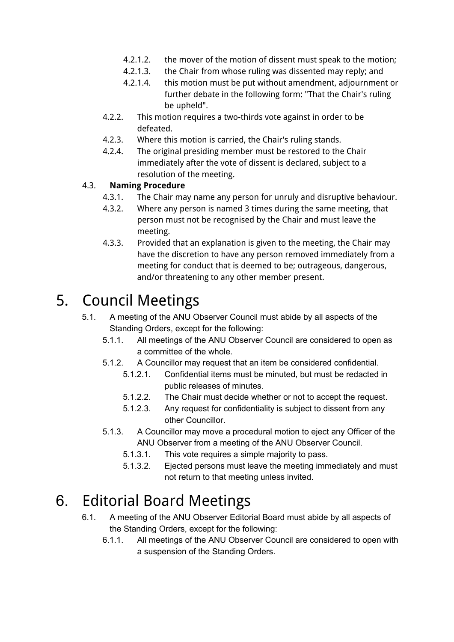- 4.2.1.2. the mover of the motion of dissent must speak to the motion;
- 4.2.1.3. the Chair from whose ruling was dissented may reply; and
- 4.2.1.4. this motion must be put without amendment, adjournment or further debate in the following form: "That the Chair's ruling be upheld".
- 4.2.2. This motion requires a two-thirds vote against in order to be defeated.
- 4.2.3. Where this motion is carried, the Chair's ruling stands.
- 4.2.4. The original presiding member must be restored to the Chair immediately after the vote of dissent is declared, subject to a resolution of the meeting.

#### 4.3. **Naming Procedure**

- 4.3.1. The Chair may name any person for unruly and disruptive behaviour.
- 4.3.2. Where any person is named 3 times during the same meeting, that person must not be recognised by the Chair and must leave the meeting.
- 4.3.3. Provided that an explanation is given to the meeting, the Chair may have the discretion to have any person removed immediately from a meeting for conduct that is deemed to be; outrageous, dangerous, and/or threatening to any other member present.

## 5. Council Meetings

- 5.1. A meeting of the ANU Observer Council must abide by all aspects of the Standing Orders, except for the following:
	- 5.1.1. All meetings of the ANU Observer Council are considered to open as a committee of the whole.
	- 5.1.2. A Councillor may request that an item be considered confidential.
		- 5.1.2.1. Confidential items must be minuted, but must be redacted in public releases of minutes.
		- 5.1.2.2. The Chair must decide whether or not to accept the request.
		- 5.1.2.3. Any request for confidentiality is subject to dissent from any other Councillor.
	- 5.1.3. A Councillor may move a procedural motion to eject any Officer of the ANU Observer from a meeting of the ANU Observer Council.
		- 5.1.3.1. This vote requires a simple majority to pass.
		- 5.1.3.2. Ejected persons must leave the meeting immediately and must not return to that meeting unless invited.

### 6. Editorial Board Meetings

- 6.1. A meeting of the ANU Observer Editorial Board must abide by all aspects of the Standing Orders, except for the following:
	- 6.1.1. All meetings of the ANU Observer Council are considered to open with a suspension of the Standing Orders.